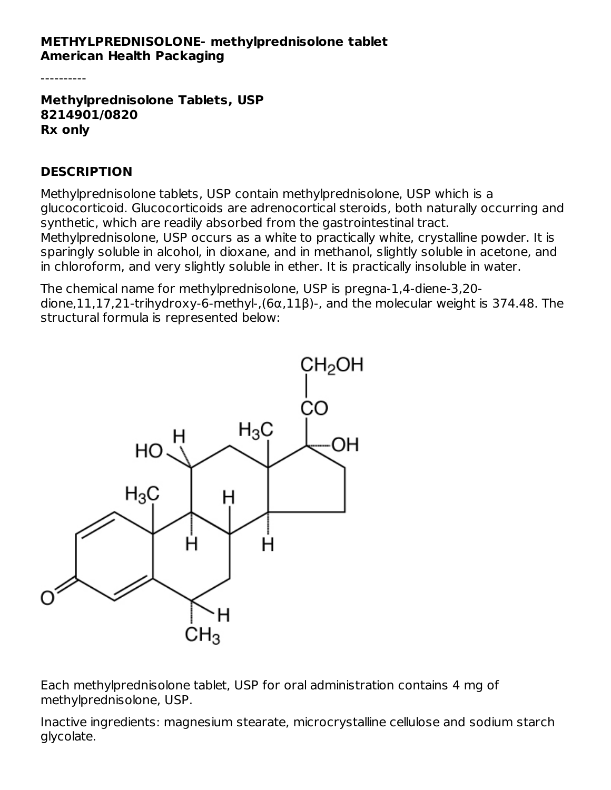#### **METHYLPREDNISOLONE- methylprednisolone tablet American Health Packaging**

----------

**Methylprednisolone Tablets, USP 8214901/0820 Rx only**

#### **DESCRIPTION**

Methylprednisolone tablets, USP contain methylprednisolone, USP which is a glucocorticoid. Glucocorticoids are adrenocortical steroids, both naturally occurring and synthetic, which are readily absorbed from the gastrointestinal tract. Methylprednisolone, USP occurs as a white to practically white, crystalline powder. It is sparingly soluble in alcohol, in dioxane, and in methanol, slightly soluble in acetone, and in chloroform, and very slightly soluble in ether. It is practically insoluble in water.

The chemical name for methylprednisolone, USP is pregna-1,4-diene-3,20 dione,11,17,21-trihydroxy-6-methyl-,(6 $\alpha$ ,11 $\beta$ )-, and the molecular weight is 374.48. The structural formula is represented below:



Each methylprednisolone tablet, USP for oral administration contains 4 mg of methylprednisolone, USP.

Inactive ingredients: magnesium stearate, microcrystalline cellulose and sodium starch glycolate.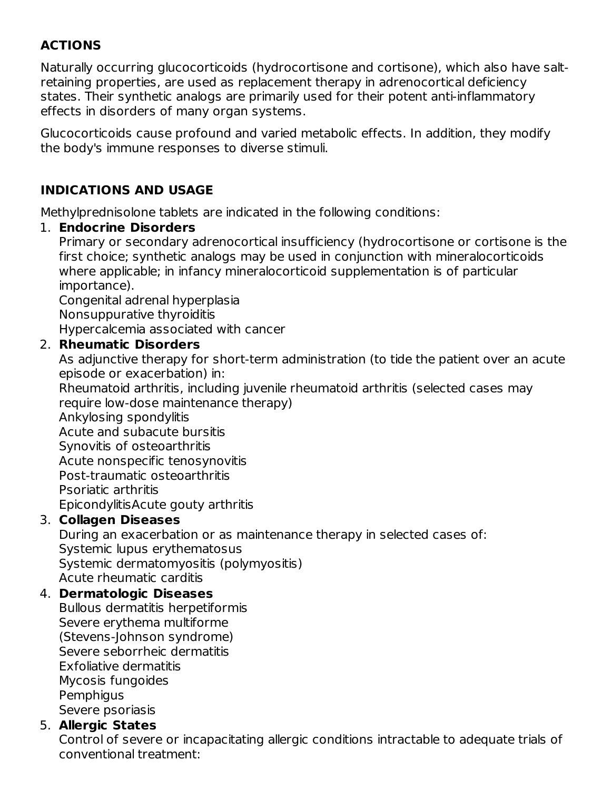# **ACTIONS**

Naturally occurring glucocorticoids (hydrocortisone and cortisone), which also have saltretaining properties, are used as replacement therapy in adrenocortical deficiency states. Their synthetic analogs are primarily used for their potent anti-inflammatory effects in disorders of many organ systems.

Glucocorticoids cause profound and varied metabolic effects. In addition, they modify the body's immune responses to diverse stimuli.

# **INDICATIONS AND USAGE**

Methylprednisolone tablets are indicated in the following conditions:

#### 1. **Endocrine Disorders**

Primary or secondary adrenocortical insufficiency (hydrocortisone or cortisone is the first choice; synthetic analogs may be used in conjunction with mineralocorticoids where applicable; in infancy mineralocorticoid supplementation is of particular importance).

Congenital adrenal hyperplasia Nonsuppurative thyroiditis Hypercalcemia associated with cancer

#### 2. **Rheumatic Disorders**

As adjunctive therapy for short-term administration (to tide the patient over an acute episode or exacerbation) in:

Rheumatoid arthritis, including juvenile rheumatoid arthritis (selected cases may require low-dose maintenance therapy)

Ankylosing spondylitis Acute and subacute bursitis Synovitis of osteoarthritis Acute nonspecific tenosynovitis Post-traumatic osteoarthritis Psoriatic arthritis EpicondylitisAcute gouty arthritis

#### 3. **Collagen Diseases**

During an exacerbation or as maintenance therapy in selected cases of: Systemic lupus erythematosus Systemic dermatomyositis (polymyositis) Acute rheumatic carditis

#### 4. **Dermatologic Diseases**

Bullous dermatitis herpetiformis Severe erythema multiforme (Stevens-Johnson syndrome) Severe seborrheic dermatitis Exfoliative dermatitis Mycosis fungoides Pemphigus Severe psoriasis

# 5. **Allergic States**

Control of severe or incapacitating allergic conditions intractable to adequate trials of conventional treatment: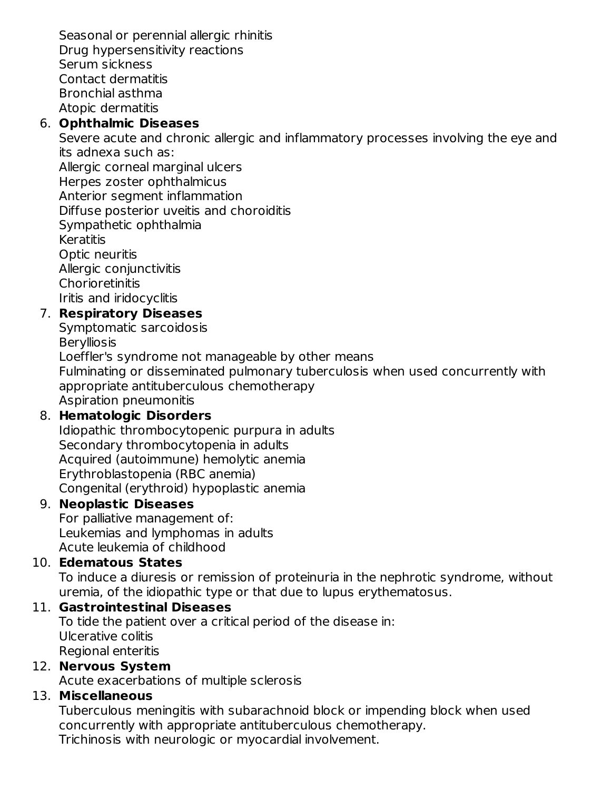Seasonal or perennial allergic rhinitis Drug hypersensitivity reactions Serum sickness Contact dermatitis Bronchial asthma Atopic dermatitis

### 6. **Ophthalmic Diseases**

Severe acute and chronic allergic and inflammatory processes involving the eye and its adnexa such as: Allergic corneal marginal ulcers Herpes zoster ophthalmicus Anterior segment inflammation Diffuse posterior uveitis and choroiditis Sympathetic ophthalmia **Keratitis** Optic neuritis Allergic conjunctivitis **Chorioretinitis** Iritis and iridocyclitis

### 7. **Respiratory Diseases**

Symptomatic sarcoidosis **Berylliosis** 

Loeffler's syndrome not manageable by other means Fulminating or disseminated pulmonary tuberculosis when used concurrently with appropriate antituberculous chemotherapy Aspiration pneumonitis

# 8. **Hematologic Disorders**

Idiopathic thrombocytopenic purpura in adults Secondary thrombocytopenia in adults Acquired (autoimmune) hemolytic anemia Erythroblastopenia (RBC anemia) Congenital (erythroid) hypoplastic anemia

#### 9. **Neoplastic Diseases**

For palliative management of: Leukemias and lymphomas in adults Acute leukemia of childhood

# 10. **Edematous States**

To induce a diuresis or remission of proteinuria in the nephrotic syndrome, without uremia, of the idiopathic type or that due to lupus erythematosus.

#### 11. **Gastrointestinal Diseases**

To tide the patient over a critical period of the disease in: Ulcerative colitis Regional enteritis

#### 12. **Nervous System**

Acute exacerbations of multiple sclerosis

#### 13. **Miscellaneous**

Tuberculous meningitis with subarachnoid block or impending block when used concurrently with appropriate antituberculous chemotherapy. Trichinosis with neurologic or myocardial involvement.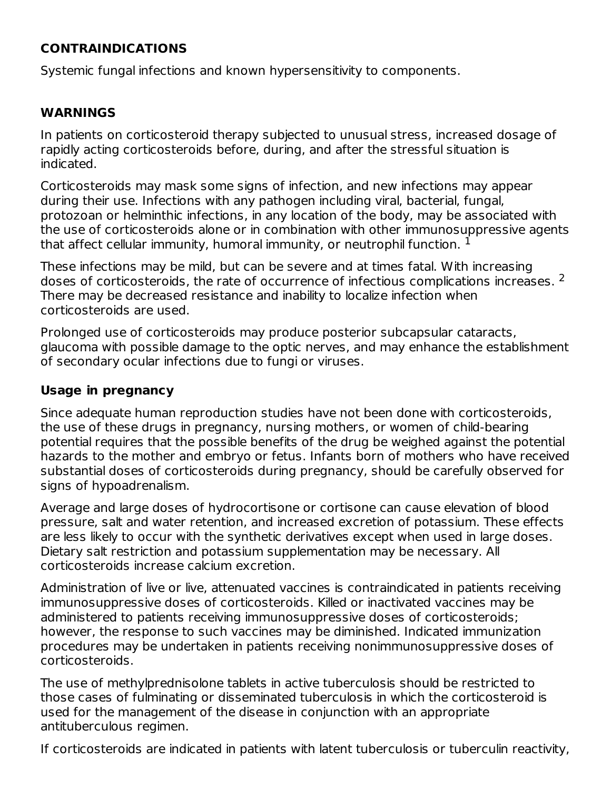## **CONTRAINDICATIONS**

Systemic fungal infections and known hypersensitivity to components.

#### **WARNINGS**

In patients on corticosteroid therapy subjected to unusual stress, increased dosage of rapidly acting corticosteroids before, during, and after the stressful situation is indicated.

Corticosteroids may mask some signs of infection, and new infections may appear during their use. Infections with any pathogen including viral, bacterial, fungal, protozoan or helminthic infections, in any location of the body, may be associated with the use of corticosteroids alone or in combination with other immunosuppressive agents that affect cellular immunity, humoral immunity, or neutrophil function.  $^{\rm 1}$ 

These infections may be mild, but can be severe and at times fatal. With increasing doses of corticosteroids, the rate of occurrence of infectious complications increases. <sup>2</sup> There may be decreased resistance and inability to localize infection when corticosteroids are used.

Prolonged use of corticosteroids may produce posterior subcapsular cataracts, glaucoma with possible damage to the optic nerves, and may enhance the establishment of secondary ocular infections due to fungi or viruses.

#### **Usage in pregnancy**

Since adequate human reproduction studies have not been done with corticosteroids, the use of these drugs in pregnancy, nursing mothers, or women of child-bearing potential requires that the possible benefits of the drug be weighed against the potential hazards to the mother and embryo or fetus. Infants born of mothers who have received substantial doses of corticosteroids during pregnancy, should be carefully observed for signs of hypoadrenalism.

Average and large doses of hydrocortisone or cortisone can cause elevation of blood pressure, salt and water retention, and increased excretion of potassium. These effects are less likely to occur with the synthetic derivatives except when used in large doses. Dietary salt restriction and potassium supplementation may be necessary. All corticosteroids increase calcium excretion.

Administration of live or live, attenuated vaccines is contraindicated in patients receiving immunosuppressive doses of corticosteroids. Killed or inactivated vaccines may be administered to patients receiving immunosuppressive doses of corticosteroids; however, the response to such vaccines may be diminished. Indicated immunization procedures may be undertaken in patients receiving nonimmunosuppressive doses of corticosteroids.

The use of methylprednisolone tablets in active tuberculosis should be restricted to those cases of fulminating or disseminated tuberculosis in which the corticosteroid is used for the management of the disease in conjunction with an appropriate antituberculous regimen.

If corticosteroids are indicated in patients with latent tuberculosis or tuberculin reactivity,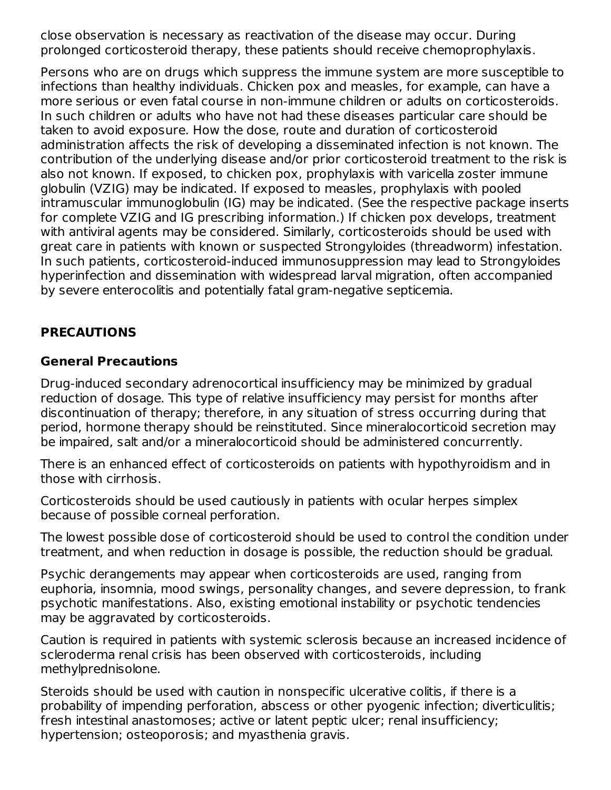close observation is necessary as reactivation of the disease may occur. During prolonged corticosteroid therapy, these patients should receive chemoprophylaxis.

Persons who are on drugs which suppress the immune system are more susceptible to infections than healthy individuals. Chicken pox and measles, for example, can have a more serious or even fatal course in non-immune children or adults on corticosteroids. In such children or adults who have not had these diseases particular care should be taken to avoid exposure. How the dose, route and duration of corticosteroid administration affects the risk of developing a disseminated infection is not known. The contribution of the underlying disease and/or prior corticosteroid treatment to the risk is also not known. If exposed, to chicken pox, prophylaxis with varicella zoster immune globulin (VZIG) may be indicated. If exposed to measles, prophylaxis with pooled intramuscular immunoglobulin (IG) may be indicated. (See the respective package inserts for complete VZIG and IG prescribing information.) If chicken pox develops, treatment with antiviral agents may be considered. Similarly, corticosteroids should be used with great care in patients with known or suspected Strongyloides (threadworm) infestation. In such patients, corticosteroid-induced immunosuppression may lead to Strongyloides hyperinfection and dissemination with widespread larval migration, often accompanied by severe enterocolitis and potentially fatal gram-negative septicemia.

# **PRECAUTIONS**

#### **General Precautions**

Drug-induced secondary adrenocortical insufficiency may be minimized by gradual reduction of dosage. This type of relative insufficiency may persist for months after discontinuation of therapy; therefore, in any situation of stress occurring during that period, hormone therapy should be reinstituted. Since mineralocorticoid secretion may be impaired, salt and/or a mineralocorticoid should be administered concurrently.

There is an enhanced effect of corticosteroids on patients with hypothyroidism and in those with cirrhosis.

Corticosteroids should be used cautiously in patients with ocular herpes simplex because of possible corneal perforation.

The lowest possible dose of corticosteroid should be used to control the condition under treatment, and when reduction in dosage is possible, the reduction should be gradual.

Psychic derangements may appear when corticosteroids are used, ranging from euphoria, insomnia, mood swings, personality changes, and severe depression, to frank psychotic manifestations. Also, existing emotional instability or psychotic tendencies may be aggravated by corticosteroids.

Caution is required in patients with systemic sclerosis because an increased incidence of scleroderma renal crisis has been observed with corticosteroids, including methylprednisolone.

Steroids should be used with caution in nonspecific ulcerative colitis, if there is a probability of impending perforation, abscess or other pyogenic infection; diverticulitis; fresh intestinal anastomoses; active or latent peptic ulcer; renal insufficiency; hypertension; osteoporosis; and myasthenia gravis.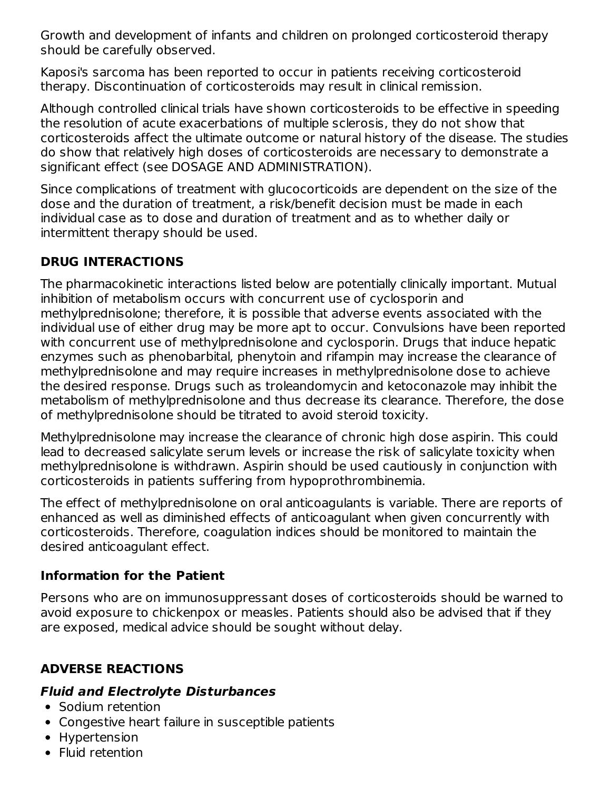Growth and development of infants and children on prolonged corticosteroid therapy should be carefully observed.

Kaposi's sarcoma has been reported to occur in patients receiving corticosteroid therapy. Discontinuation of corticosteroids may result in clinical remission.

Although controlled clinical trials have shown corticosteroids to be effective in speeding the resolution of acute exacerbations of multiple sclerosis, they do not show that corticosteroids affect the ultimate outcome or natural history of the disease. The studies do show that relatively high doses of corticosteroids are necessary to demonstrate a significant effect (see DOSAGE AND ADMINISTRATION).

Since complications of treatment with glucocorticoids are dependent on the size of the dose and the duration of treatment, a risk/benefit decision must be made in each individual case as to dose and duration of treatment and as to whether daily or intermittent therapy should be used.

# **DRUG INTERACTIONS**

The pharmacokinetic interactions listed below are potentially clinically important. Mutual inhibition of metabolism occurs with concurrent use of cyclosporin and methylprednisolone; therefore, it is possible that adverse events associated with the individual use of either drug may be more apt to occur. Convulsions have been reported with concurrent use of methylprednisolone and cyclosporin. Drugs that induce hepatic enzymes such as phenobarbital, phenytoin and rifampin may increase the clearance of methylprednisolone and may require increases in methylprednisolone dose to achieve the desired response. Drugs such as troleandomycin and ketoconazole may inhibit the metabolism of methylprednisolone and thus decrease its clearance. Therefore, the dose of methylprednisolone should be titrated to avoid steroid toxicity.

Methylprednisolone may increase the clearance of chronic high dose aspirin. This could lead to decreased salicylate serum levels or increase the risk of salicylate toxicity when methylprednisolone is withdrawn. Aspirin should be used cautiously in conjunction with corticosteroids in patients suffering from hypoprothrombinemia.

The effect of methylprednisolone on oral anticoagulants is variable. There are reports of enhanced as well as diminished effects of anticoagulant when given concurrently with corticosteroids. Therefore, coagulation indices should be monitored to maintain the desired anticoagulant effect.

# **Information for the Patient**

Persons who are on immunosuppressant doses of corticosteroids should be warned to avoid exposure to chickenpox or measles. Patients should also be advised that if they are exposed, medical advice should be sought without delay.

# **ADVERSE REACTIONS**

# **Fluid and Electrolyte Disturbances**

- Sodium retention
- Congestive heart failure in susceptible patients
- Hypertension
- Fluid retention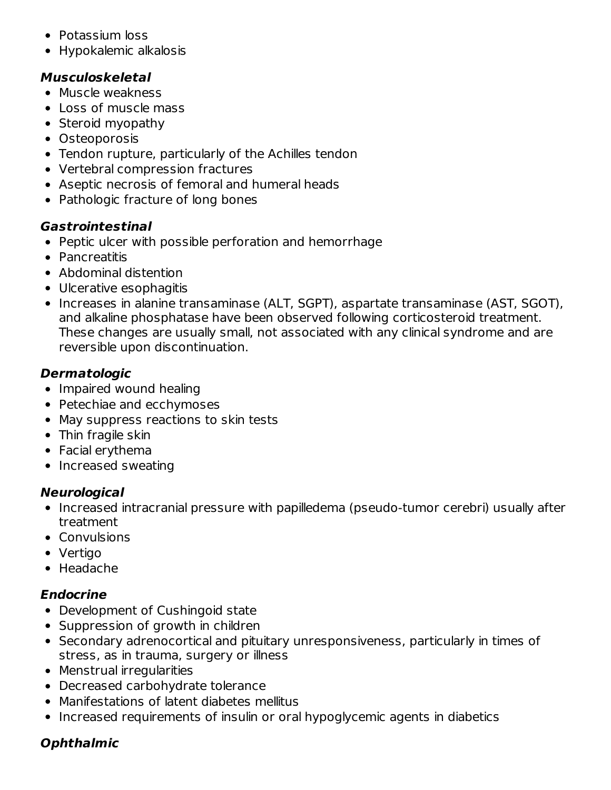- Potassium loss
- Hypokalemic alkalosis

#### **Musculoskeletal**

- Muscle weakness
- Loss of muscle mass
- Steroid myopathy
- Osteoporosis
- Tendon rupture, particularly of the Achilles tendon
- Vertebral compression fractures
- Aseptic necrosis of femoral and humeral heads
- Pathologic fracture of long bones

# **Gastrointestinal**

- Peptic ulcer with possible perforation and hemorrhage
- Pancreatitis
- Abdominal distention
- Ulcerative esophagitis
- Increases in alanine transaminase (ALT, SGPT), aspartate transaminase (AST, SGOT), and alkaline phosphatase have been observed following corticosteroid treatment. These changes are usually small, not associated with any clinical syndrome and are reversible upon discontinuation.

# **Dermatologic**

- Impaired wound healing
- Petechiae and ecchymoses
- May suppress reactions to skin tests
- Thin fragile skin
- Facial erythema
- Increased sweating

# **Neurological**

- Increased intracranial pressure with papilledema (pseudo-tumor cerebri) usually after treatment
- Convulsions
- Vertigo
- Headache

# **Endocrine**

- Development of Cushingoid state
- Suppression of growth in children
- Secondary adrenocortical and pituitary unresponsiveness, particularly in times of stress, as in trauma, surgery or illness
- Menstrual irregularities
- Decreased carbohydrate tolerance
- Manifestations of latent diabetes mellitus
- Increased requirements of insulin or oral hypoglycemic agents in diabetics

# **Ophthalmic**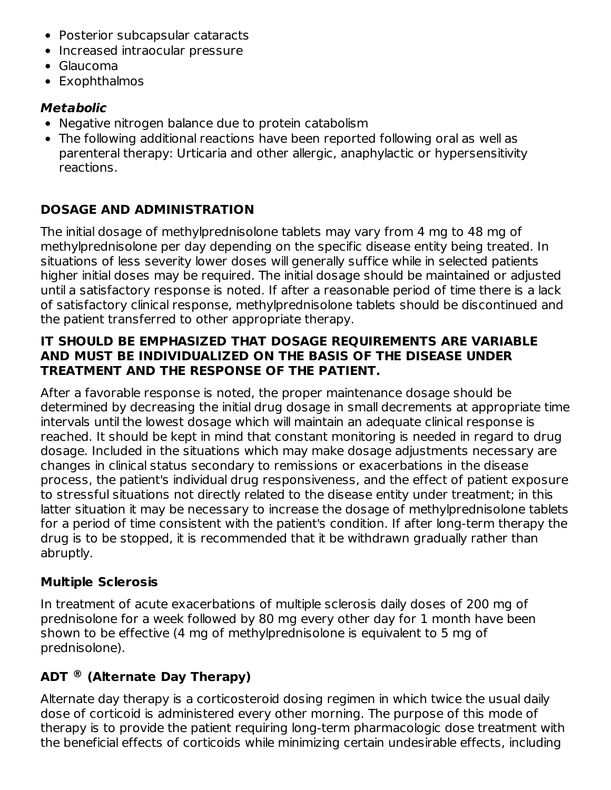- Posterior subcapsular cataracts
- Increased intraocular pressure
- Glaucoma
- Exophthalmos

# **Metabolic**

- Negative nitrogen balance due to protein catabolism
- The following additional reactions have been reported following oral as well as parenteral therapy: Urticaria and other allergic, anaphylactic or hypersensitivity reactions.

# **DOSAGE AND ADMINISTRATION**

The initial dosage of methylprednisolone tablets may vary from 4 mg to 48 mg of methylprednisolone per day depending on the specific disease entity being treated. In situations of less severity lower doses will generally suffice while in selected patients higher initial doses may be required. The initial dosage should be maintained or adjusted until a satisfactory response is noted. If after a reasonable period of time there is a lack of satisfactory clinical response, methylprednisolone tablets should be discontinued and the patient transferred to other appropriate therapy.

#### **IT SHOULD BE EMPHASIZED THAT DOSAGE REQUIREMENTS ARE VARIABLE AND MUST BE INDIVIDUALIZED ON THE BASIS OF THE DISEASE UNDER TREATMENT AND THE RESPONSE OF THE PATIENT.**

After a favorable response is noted, the proper maintenance dosage should be determined by decreasing the initial drug dosage in small decrements at appropriate time intervals until the lowest dosage which will maintain an adequate clinical response is reached. It should be kept in mind that constant monitoring is needed in regard to drug dosage. Included in the situations which may make dosage adjustments necessary are changes in clinical status secondary to remissions or exacerbations in the disease process, the patient's individual drug responsiveness, and the effect of patient exposure to stressful situations not directly related to the disease entity under treatment; in this latter situation it may be necessary to increase the dosage of methylprednisolone tablets for a period of time consistent with the patient's condition. If after long-term therapy the drug is to be stopped, it is recommended that it be withdrawn gradually rather than abruptly.

# **Multiple Sclerosis**

In treatment of acute exacerbations of multiple sclerosis daily doses of 200 mg of prednisolone for a week followed by 80 mg every other day for 1 month have been shown to be effective (4 mg of methylprednisolone is equivalent to 5 mg of prednisolone).

# **ADT (Alternate Day Therapy) ®**

Alternate day therapy is a corticosteroid dosing regimen in which twice the usual daily dose of corticoid is administered every other morning. The purpose of this mode of therapy is to provide the patient requiring long-term pharmacologic dose treatment with the beneficial effects of corticoids while minimizing certain undesirable effects, including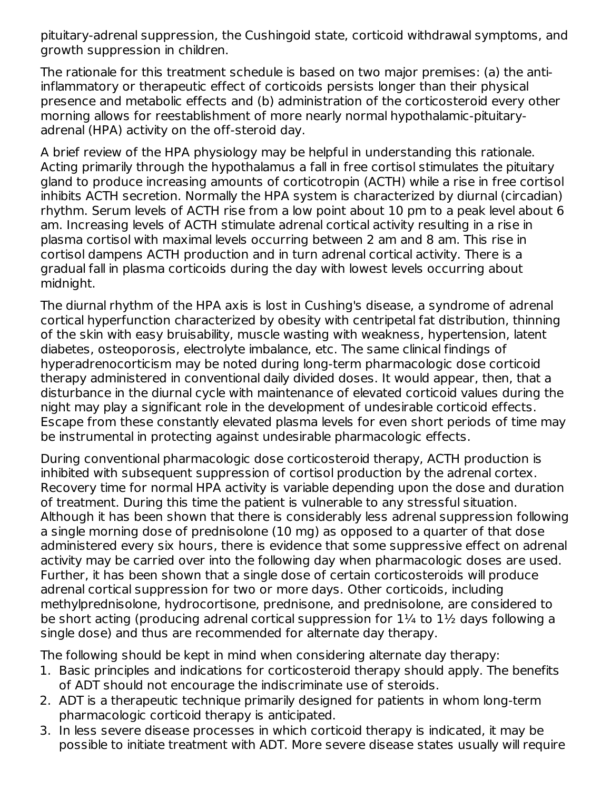pituitary-adrenal suppression, the Cushingoid state, corticoid withdrawal symptoms, and growth suppression in children.

The rationale for this treatment schedule is based on two major premises: (a) the antiinflammatory or therapeutic effect of corticoids persists longer than their physical presence and metabolic effects and (b) administration of the corticosteroid every other morning allows for reestablishment of more nearly normal hypothalamic-pituitaryadrenal (HPA) activity on the off-steroid day.

A brief review of the HPA physiology may be helpful in understanding this rationale. Acting primarily through the hypothalamus a fall in free cortisol stimulates the pituitary gland to produce increasing amounts of corticotropin (ACTH) while a rise in free cortisol inhibits ACTH secretion. Normally the HPA system is characterized by diurnal (circadian) rhythm. Serum levels of ACTH rise from a low point about 10 pm to a peak level about 6 am. Increasing levels of ACTH stimulate adrenal cortical activity resulting in a rise in plasma cortisol with maximal levels occurring between 2 am and 8 am. This rise in cortisol dampens ACTH production and in turn adrenal cortical activity. There is a gradual fall in plasma corticoids during the day with lowest levels occurring about midnight.

The diurnal rhythm of the HPA axis is lost in Cushing's disease, a syndrome of adrenal cortical hyperfunction characterized by obesity with centripetal fat distribution, thinning of the skin with easy bruisability, muscle wasting with weakness, hypertension, latent diabetes, osteoporosis, electrolyte imbalance, etc. The same clinical findings of hyperadrenocorticism may be noted during long-term pharmacologic dose corticoid therapy administered in conventional daily divided doses. It would appear, then, that a disturbance in the diurnal cycle with maintenance of elevated corticoid values during the night may play a significant role in the development of undesirable corticoid effects. Escape from these constantly elevated plasma levels for even short periods of time may be instrumental in protecting against undesirable pharmacologic effects.

During conventional pharmacologic dose corticosteroid therapy, ACTH production is inhibited with subsequent suppression of cortisol production by the adrenal cortex. Recovery time for normal HPA activity is variable depending upon the dose and duration of treatment. During this time the patient is vulnerable to any stressful situation. Although it has been shown that there is considerably less adrenal suppression following a single morning dose of prednisolone (10 mg) as opposed to a quarter of that dose administered every six hours, there is evidence that some suppressive effect on adrenal activity may be carried over into the following day when pharmacologic doses are used. Further, it has been shown that a single dose of certain corticosteroids will produce adrenal cortical suppression for two or more days. Other corticoids, including methylprednisolone, hydrocortisone, prednisone, and prednisolone, are considered to be short acting (producing adrenal cortical suppression for  $1\frac{1}{4}$  to  $1\frac{1}{2}$  days following a single dose) and thus are recommended for alternate day therapy.

The following should be kept in mind when considering alternate day therapy:

- 1. Basic principles and indications for corticosteroid therapy should apply. The benefits of ADT should not encourage the indiscriminate use of steroids.
- 2. ADT is a therapeutic technique primarily designed for patients in whom long-term pharmacologic corticoid therapy is anticipated.
- 3. In less severe disease processes in which corticoid therapy is indicated, it may be possible to initiate treatment with ADT. More severe disease states usually will require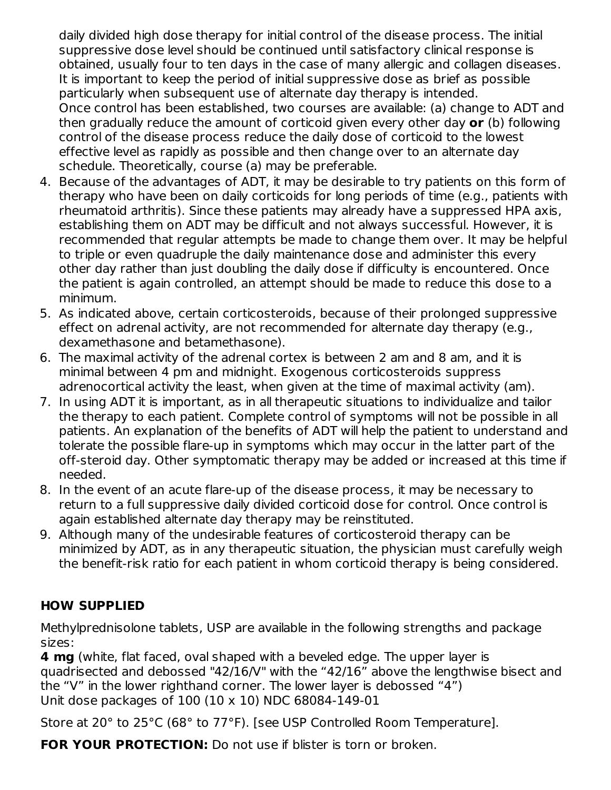daily divided high dose therapy for initial control of the disease process. The initial suppressive dose level should be continued until satisfactory clinical response is obtained, usually four to ten days in the case of many allergic and collagen diseases. It is important to keep the period of initial suppressive dose as brief as possible particularly when subsequent use of alternate day therapy is intended. Once control has been established, two courses are available: (a) change to ADT and then gradually reduce the amount of corticoid given every other day **or** (b) following control of the disease process reduce the daily dose of corticoid to the lowest effective level as rapidly as possible and then change over to an alternate day schedule. Theoretically, course (a) may be preferable.

- 4. Because of the advantages of ADT, it may be desirable to try patients on this form of therapy who have been on daily corticoids for long periods of time (e.g., patients with rheumatoid arthritis). Since these patients may already have a suppressed HPA axis, establishing them on ADT may be difficult and not always successful. However, it is recommended that regular attempts be made to change them over. It may be helpful to triple or even quadruple the daily maintenance dose and administer this every other day rather than just doubling the daily dose if difficulty is encountered. Once the patient is again controlled, an attempt should be made to reduce this dose to a minimum.
- 5. As indicated above, certain corticosteroids, because of their prolonged suppressive effect on adrenal activity, are not recommended for alternate day therapy (e.g., dexamethasone and betamethasone).
- 6. The maximal activity of the adrenal cortex is between 2 am and 8 am, and it is minimal between 4 pm and midnight. Exogenous corticosteroids suppress adrenocortical activity the least, when given at the time of maximal activity (am).
- 7. In using ADT it is important, as in all therapeutic situations to individualize and tailor the therapy to each patient. Complete control of symptoms will not be possible in all patients. An explanation of the benefits of ADT will help the patient to understand and tolerate the possible flare-up in symptoms which may occur in the latter part of the off-steroid day. Other symptomatic therapy may be added or increased at this time if needed.
- 8. In the event of an acute flare-up of the disease process, it may be necessary to return to a full suppressive daily divided corticoid dose for control. Once control is again established alternate day therapy may be reinstituted.
- 9. Although many of the undesirable features of corticosteroid therapy can be minimized by ADT, as in any therapeutic situation, the physician must carefully weigh the benefit-risk ratio for each patient in whom corticoid therapy is being considered.

# **HOW SUPPLIED**

Methylprednisolone tablets, USP are available in the following strengths and package sizes:

**4 mg** (white, flat faced, oval shaped with a beveled edge. The upper layer is quadrisected and debossed "42/16/V" with the "42/16" above the lengthwise bisect and the "V" in the lower righthand corner. The lower layer is debossed "4") Unit dose packages of 100 (10 x 10) NDC 68084-149-01

Store at 20° to 25°C (68° to 77°F). [see USP Controlled Room Temperature].

**FOR YOUR PROTECTION:** Do not use if blister is torn or broken.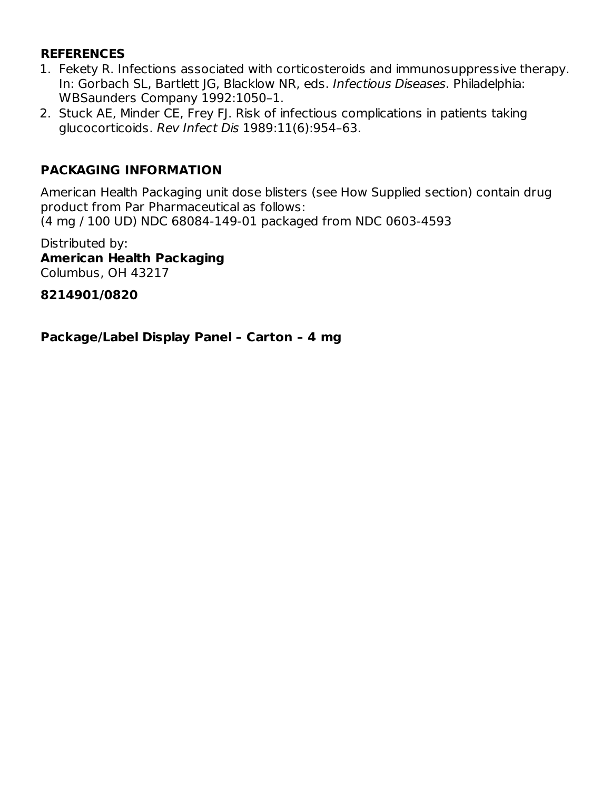## **REFERENCES**

- 1. Fekety R. Infections associated with corticosteroids and immunosuppressive therapy. In: Gorbach SL, Bartlett JG, Blacklow NR, eds. Infectious Diseases. Philadelphia: WBSaunders Company 1992:1050–1.
- 2. Stuck AE, Minder CE, Frey FJ. Risk of infectious complications in patients taking glucocorticoids. Rev Infect Dis 1989:11(6):954–63.

## **PACKAGING INFORMATION**

American Health Packaging unit dose blisters (see How Supplied section) contain drug product from Par Pharmaceutical as follows:

(4 mg / 100 UD) NDC 68084-149-01 packaged from NDC 0603-4593

Distributed by: **American Health Packaging** Columbus, OH 43217

**8214901/0820**

**Package/Label Display Panel – Carton – 4 mg**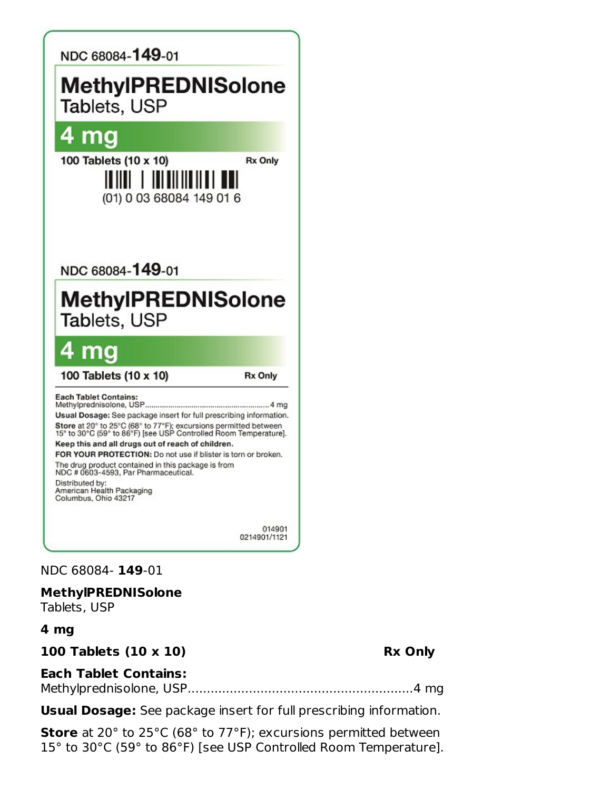# NDC 68084-149-01 **MethylPREDNISolone** Tablets, USP 4 mg 100 Tablets (10 x 10) Rx Only (01) 0 03 68084 149 01 6 NDC 68084-149-01 **MethylPREDNISolone** Tablets, USP me 100 Tablets (10 x 10) **Rx Only Each Tablet Contains:**  $.4<sub>mg</sub>$ Usual Dosage: See package insert for full prescribing information. Store at 20° to 25°C (68° to 77°F); excursions permitted between<br>15° to 30°C (59° to 86°F) [see USP Controlled Room Temperature]. Keep this and all drugs out of reach of children. FOR YOUR PROTECTION: Do not use if blister is torn or broken. The drug product contained in this package is from<br>NDC # 0603-4593, Par Pharmaceutical. Distributed by: American Health Packaging Columbus, Ohio 43217 014901 0214901/1121

NDC 68084- **149**-01

#### **MethylPREDNISolone**

Tablets, USP

#### **4 mg**

**100 Tablets (10 x 10) Rx Only**

#### **Each Tablet Contains:** Methylprednisolone, USP...........................................................4 mg

**Usual Dosage:** See package insert for full prescribing information.

**Store** at 20° to 25°C (68° to 77°F); excursions permitted between 15° to 30°C (59° to 86°F) [see USP Controlled Room Temperature].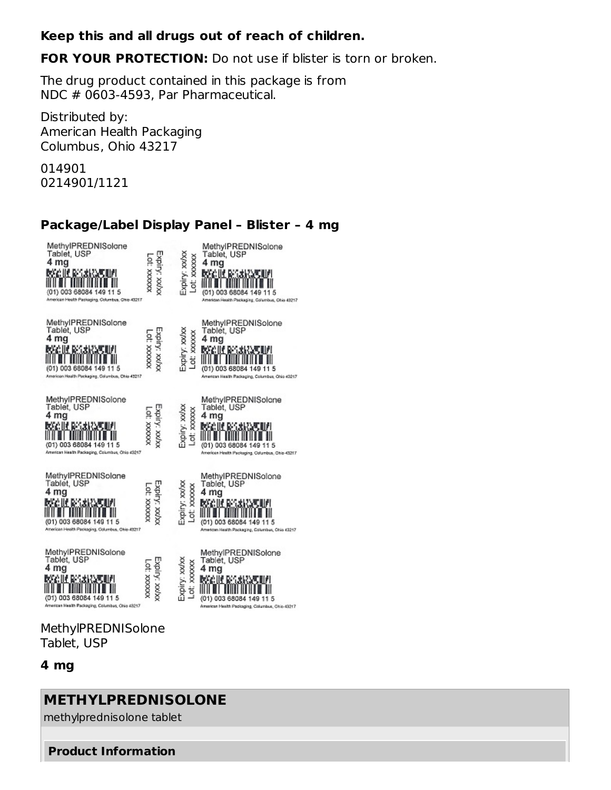#### **Keep this and all drugs out of reach of children.**

**FOR YOUR PROTECTION:** Do not use if blister is torn or broken.

The drug product contained in this package is from NDC # 0603-4593, Par Pharmaceutical.

Distributed by: American Health Packaging Columbus, Ohio 43217

014901 0214901/1121

# **Package/Label Display Panel – Blister – 4 mg**

| MethyIPREDNISolone<br>Tablet, USP<br>4 mg<br>AGUL REGISTAL<br>(01) 003 68084 149 11 5<br>American Health Packaging, Columbus, Ohio 43217      | XXXXXXX :10" | Expiry: xx/xx | Expiry: xx/xx                | Lot: xxxxxx | MethylPREDNISolone<br>Tablet, USP<br>4 mg<br><b>MAGILE REGISTERS</b><br>(01) 003 68084<br>American Health Packaging, Columbus, Ohio 43217      |
|-----------------------------------------------------------------------------------------------------------------------------------------------|--------------|---------------|------------------------------|-------------|------------------------------------------------------------------------------------------------------------------------------------------------|
| MethyIPREDNISolone<br>Tablét, USP<br>4 mg<br>REGIU ROBINA<br>(01) 003 68084 149 11 5<br>American Health Packaging, Columbus, Ohio 43217       |              | Expiry: xx/xx | Expiry: xxlxx                | Lot: xxxxxx | MethylPREDNISolone<br>Tablet, USP<br>4 mg<br>MEGILL REEXISTE<br>(01) 003 68084 149 11 5<br>American Health Packaging, Columbus, Ohio 43217     |
| MethylPREDNISolone<br>Tablét, USP<br>4 mg<br>医安眠氏试验器<br>(01) 003 68084 149 11 5<br>American Health Packaging, Columbus, Ohio 43217            | 100. XXXXXX  | Expiry: xx/xx | Expiry: xxixx                | Lot: xxxxxx | MethylPREDNISolone<br>Tablet, USP<br>4 mg<br>Magill Regular<br>(01) 003 68084 149 11 5<br>American Health Packaging, Columbus, Ohio 43217      |
| MethylPREDNISolone<br>Tablet, USP<br>4 mg<br>bara uli registran<br>(01) 003 68084 149 11 5<br>American Health Packaging, Columbus, Ohio 43217 | LOL: XXXXXX  | Expiry: xx/xx | Expiry: xx/xx<br>Lot xxxxxx  |             | MethyIPREDNISolone<br>Tablet, USP<br>4 mg<br>RA UL BASANCAR<br>(01) 003 68084 149 11 5<br>American Haalth Packaging, Columbus, Ohio 43217      |
| MethylPREDNISolone<br>Tablet, USP<br>4 mg<br>alk raavat<br>(01) 003 68084 149 11 5<br>American Health Packaging, Columbus, Ohio 43217         | XXXXXX 10    | Expiry: xx/xx | Expiry: xx/xx<br>Lot: xxxxxx |             | MethylPREDNISolone<br>Tablet, USP<br>4 mg<br>SA ULIRA SURANGI<br>(01) 003 68084<br>149 11 5<br>American Health Packaging, Columbus, Ohio 43217 |

MethylPREDNISolone Tablet, USP

#### **4 mg**

# **METHYLPREDNISOLONE**

methylprednisolone tablet

**Product Information**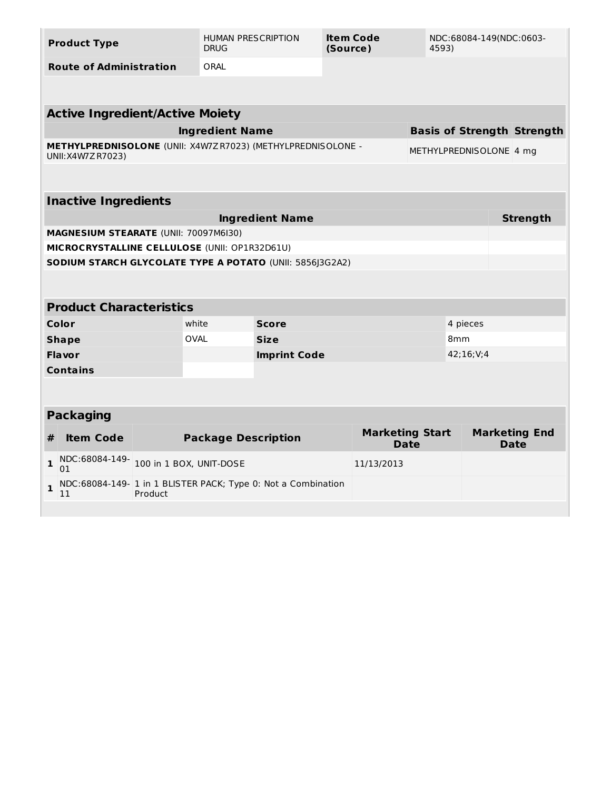| <b>Product Type</b>                                                                        | <b>DRUG</b>                                                   | <b>HUMAN PRESCRIPTION</b>  | <b>Item Code</b><br>(Source) | 4593)                                 | NDC:68084-149(NDC:0603-             |  |  |  |  |
|--------------------------------------------------------------------------------------------|---------------------------------------------------------------|----------------------------|------------------------------|---------------------------------------|-------------------------------------|--|--|--|--|
| <b>Route of Administration</b>                                                             | ORAL                                                          |                            |                              |                                       |                                     |  |  |  |  |
|                                                                                            |                                                               |                            |                              |                                       |                                     |  |  |  |  |
| <b>Active Ingredient/Active Moiety</b>                                                     |                                                               |                            |                              |                                       |                                     |  |  |  |  |
|                                                                                            | <b>Ingredient Name</b>                                        |                            |                              | <b>Basis of Strength Strength</b>     |                                     |  |  |  |  |
| METHYLPREDNISOLONE (UNII: X4W7ZR7023) (METHYLPREDNISOLONE -<br>UNII: X4W7Z R7023)          |                                                               |                            | METHYLPREDNISOLONE 4 mg      |                                       |                                     |  |  |  |  |
|                                                                                            |                                                               |                            |                              |                                       |                                     |  |  |  |  |
| <b>Inactive Ingredients</b>                                                                |                                                               |                            |                              |                                       |                                     |  |  |  |  |
|                                                                                            |                                                               |                            | <b>Strength</b>              |                                       |                                     |  |  |  |  |
| MAGNESIUM STEARATE (UNII: 70097M6I30)                                                      |                                                               |                            |                              |                                       |                                     |  |  |  |  |
|                                                                                            | MICROCRYSTALLINE CELLULOSE (UNII: OP1R32D61U)                 |                            |                              |                                       |                                     |  |  |  |  |
| SODIUM STARCH GLYCOLATE TYPE A POTATO (UNII: 5856 3G2A2)<br><b>Product Characteristics</b> |                                                               |                            |                              |                                       |                                     |  |  |  |  |
| Color                                                                                      | white                                                         | <b>Score</b>               |                              | 4 pieces                              |                                     |  |  |  |  |
| <b>Shape</b>                                                                               | <b>OVAL</b><br><b>Size</b>                                    |                            |                              | 8 <sub>mm</sub>                       |                                     |  |  |  |  |
| <b>Flavor</b>                                                                              |                                                               | <b>Imprint Code</b>        |                              |                                       | 42;16;V;4                           |  |  |  |  |
| <b>Contains</b>                                                                            |                                                               |                            |                              |                                       |                                     |  |  |  |  |
|                                                                                            |                                                               |                            |                              |                                       |                                     |  |  |  |  |
| <b>Packaging</b>                                                                           |                                                               |                            |                              |                                       |                                     |  |  |  |  |
| #<br><b>Item Code</b>                                                                      |                                                               | <b>Package Description</b> |                              | <b>Marketing Start</b><br><b>Date</b> | <b>Marketing End</b><br><b>Date</b> |  |  |  |  |
| NDC:68084-149-<br>$\mathbf{1}$<br>01                                                       | 100 in 1 BOX, UNIT-DOSE                                       |                            | 11/13/2013                   |                                       |                                     |  |  |  |  |
|                                                                                            |                                                               |                            |                              |                                       |                                     |  |  |  |  |
| $\mathbf{1}$<br>Product<br>11                                                              | NDC:68084-149- 1 in 1 BLISTER PACK; Type 0: Not a Combination |                            |                              |                                       |                                     |  |  |  |  |